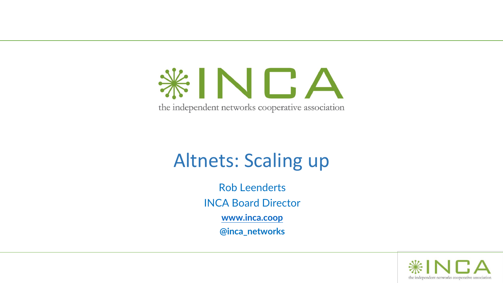KINDA the independent networks cooperative association

# Altnets: Scaling up

Rob Leenderts INCA Board Director **[www.inca.coop](http://www.inca.coop/) @inca\_networks**

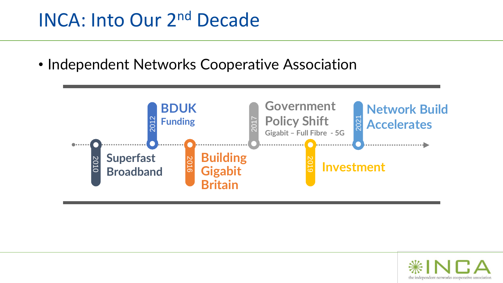## INCA: Into Our 2nd Decade

• Independent Networks Cooperative Association



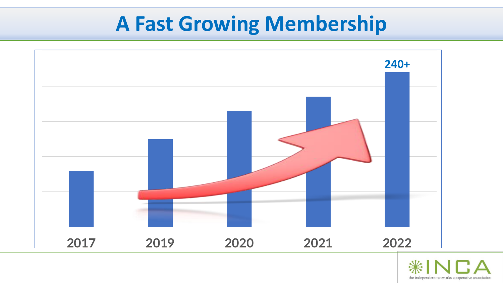# **A Fast Growing Membership**



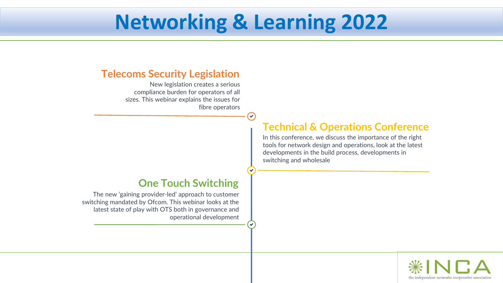# **Networking & Learning 2022**

 $\left( \mathbf{v}\right)$ 

#### **Telecoms Security Legislation**

New legislation creates a serious compliance burden for operators of all sizes. This webinar explains the issues for fibre operators

#### **One Touch Switching**

The new 'gaining provider-led' approach to customer switching mandated by Ofcom. This webinar looks at the latest state of play with OTS both in governance and operational development

### **Technical & Operations Conference**

In this conference, we discuss the importance of the right tools for network design and operations, look at the latest developments in the build process, developments in switching and wholesale

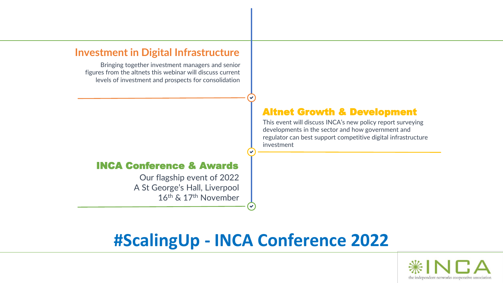#### **Investment in Digital Infrastructure**

Bringing together investment managers and senior figures from the altnets this webinar will discuss current levels of investment and prospects for consolidation

#### INCA Conference & Awards

Our flagship event of 2022 A St George's Hall, Liverpool 16th & 17th November

#### Altnet Growth & Development

This event will discuss INCA's new policy report surveying developments in the sector and how government and regulator can best support competitive digital infrastructure investment

### **#ScalingUp - INCA Conference 2022**

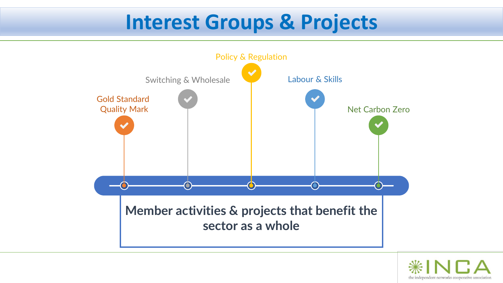# **Interest Groups & Projects**



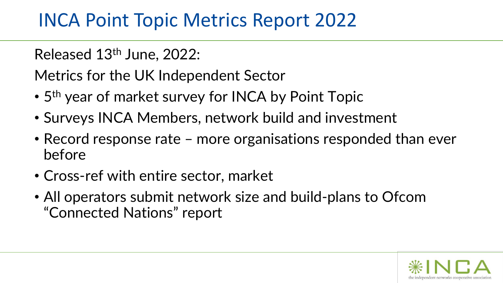## INCA Point Topic Metrics Report 2022

Released 13th June, 2022:

Metrics for the UK Independent Sector

- 5<sup>th</sup> year of market survey for INCA by Point Topic
- Surveys INCA Members, network build and investment
- Record response rate more organisations responded than ever before
- Cross-ref with entire sector, market
- All operators submit network size and build-plans to Ofcom "Connected Nations" report

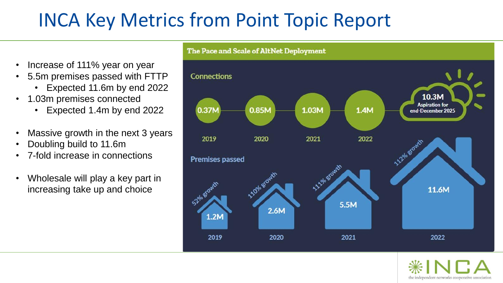# INCA Key Metrics from Point Topic Report

- Increase of 111% year on year
- 5.5m premises passed with FTTP
	- Expected 11.6m by end 2022
- 1.03m premises connected
	- Expected 1.4m by end 2022
- Massive growth in the next 3 years
- Doubling build to 11.6m
- 7-fold increase in connections
- Wholesale will play a key part in increasing take up and choice



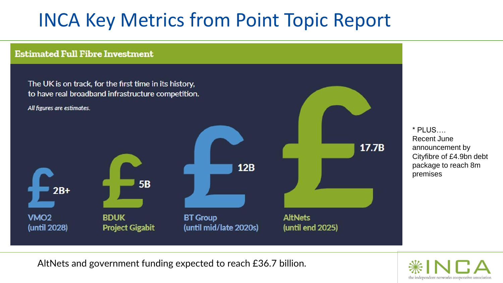# INCA Key Metrics from Point Topic Report



\* PLUS…. Recent June announcement by Cityfibre of £4.9bn debt package to reach 8m premises

AltNets and government funding expected to reach £36.7 billion.

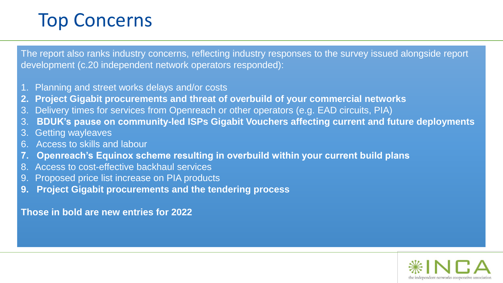## Top Concerns

The report also ranks industry concerns, reflecting industry responses to the survey issued alongside report development (c.20 independent network operators responded):

- 1. Planning and street works delays and/or costs
- **2. Project Gigabit procurements and threat of overbuild of your commercial networks**
- 3. Delivery times for services from Openreach or other operators (e.g. EAD circuits, PIA)
- 3. **BDUK's pause on community-led ISPs Gigabit Vouchers affecting current and future deployments**
- 3. Getting wayleaves
- 6. Access to skills and labour
- **7. Openreach's Equinox scheme resulting in overbuild within your current build plans**
- Access to cost-effective backhaul services
- 9. Proposed price list increase on PIA products
- **9. Project Gigabit procurements and the tendering process**

**Those in bold are new entries for 2022**

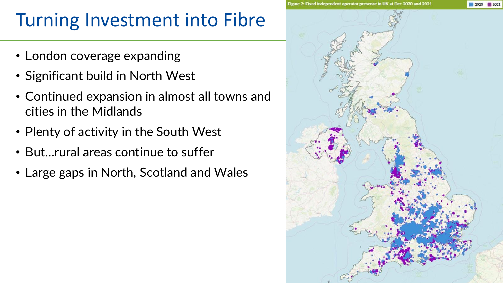# Turning Investment into Fibre

- London coverage expanding
- Significant build in North West
- Continued expansion in almost all towns and cities in the Midlands
- Plenty of activity in the South West
- But…rural areas continue to suffer
- Large gaps in North, Scotland and Wales

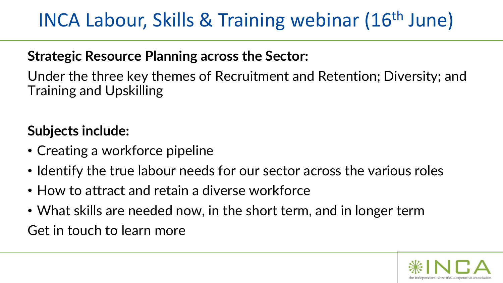# INCA Labour, Skills & Training webinar (16th June)

### **Strategic Resource Planning across the Sector:**

Under the three key themes of Recruitment and Retention; Diversity; and Training and Upskilling

### **Subjects include:**

- Creating a workforce pipeline
- Identify the true labour needs for our sector across the various roles
- How to attract and retain a diverse workforce
- What skills are needed now, in the short term, and in longer term

Get in touch to learn more

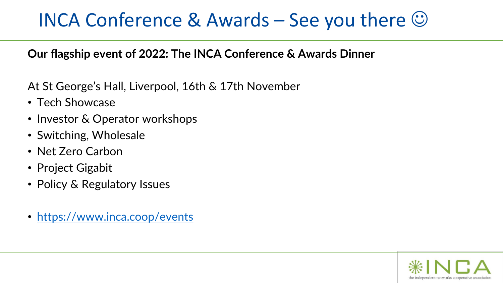## INCA Conference & Awards – See you there  $\heartsuit$

### **Our flagship event of 2022: The INCA Conference & Awards Dinner**

At St George's Hall, Liverpool, 16th & 17th November

- Tech Showcase
- Investor & Operator workshops
- Switching, Wholesale
- Net Zero Carbon
- Project Gigabit
- Policy & Regulatory Issues
- <https://www.inca.coop/events>